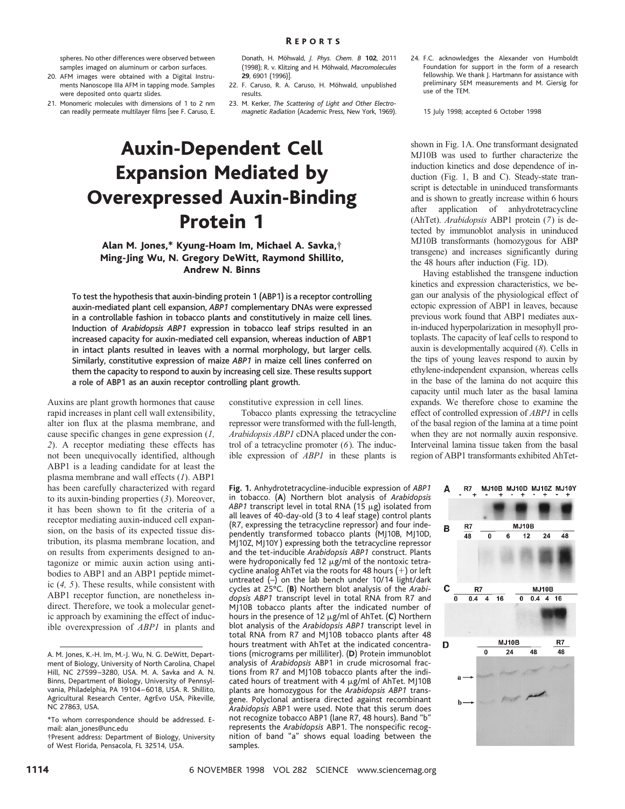spheres. No other differences were observed between samples imaged on aluminum or carbon surfaces.

- 20. AFM images were obtained with a Digital Instruments Nanoscope IIIa AFM in tapping mode. Samples were deposited onto quartz slides.
- 21. Monomeric molecules with dimensions of 1 to 2 nm can readily permeate multilayer films [see F. Caruso, E.

Donath, H. Mo¨hwald, *J. Phys. Chem. B* **102**, 2011 (1998); R. v. Klitzing and H. Möhwald, Macromolecules **29**, 6901 (1996)].

- 22. F. Caruso, R. A. Caruso, H. Möhwald, unpublished results.
- 23. M. Kerker, *The Scattering of Light and Other Electromagnetic Radiation* (Academic Press, New York, 1969).

constitutive expression in cell lines.

Tobacco plants expressing the tetracycline repressor were transformed with the full-length, *Arabidopsis ABP1* cDNA placed under the control of a tetracycline promoter (*6*). The inducible expression of *ABP1* in these plants is

# Auxin-Dependent Cell Expansion Mediated by Overexpressed Auxin-Binding Protein 1

### Alan M. Jones,\* Kyung-Hoam Im, Michael A. Savka,† Ming-Jing Wu, N. Gregory DeWitt, Raymond Shillito, Andrew N. Binns

To test the hypothesis that auxin-binding protein 1 (ABP1) is a receptor controlling auxin-mediated plant cell expansion, *ABP1* complementary DNAs were expressed in a controllable fashion in tobacco plants and constitutively in maize cell lines. Induction of *Arabidopsis ABP1* expression in tobacco leaf strips resulted in an increased capacity for auxin-mediated cell expansion, whereas induction of ABP1 in intact plants resulted in leaves with a normal morphology, but larger cells. Similarly, constitutive expression of maize *ABP1* in maize cell lines conferred on them the capacity to respond to auxin by increasing cell size. These results support a role of ABP1 as an auxin receptor controlling plant growth.

Auxins are plant growth hormones that cause rapid increases in plant cell wall extensibility, alter ion flux at the plasma membrane, and cause specific changes in gene expression (*1, 2*). A receptor mediating these effects has not been unequivocally identified, although ABP1 is a leading candidate for at least the plasma membrane and wall effects (*1*). ABP1 has been carefully characterized with regard to its auxin-binding properties (*3*). Moreover, it has been shown to fit the criteria of a receptor mediating auxin-induced cell expansion, on the basis of its expected tissue distribution, its plasma membrane location, and on results from experiments designed to antagonize or mimic auxin action using antibodies to ABP1 and an ABP1 peptide mimetic (*4, 5*). These results, while consistent with ABP1 receptor function, are nonetheless indirect. Therefore, we took a molecular genetic approach by examining the effect of inducible overexpression of *ABP1* in plants and

shown in Fig. 1A. One transformant designated MJ10B was used to further characterize the induction kinetics and dose dependence of induction (Fig. 1, B and C). Steady-state transcript is detectable in uninduced transformants and is shown to greatly increase within 6 hours after application of anhydrotetracycline (AhTet). *Arabidopsis* ABP1 protein (*7*) is detected by immunoblot analysis in uninduced MJ10B transformants (homozygous for ABP

transgene) and increases significantly during

24. F.C. acknowledges the Alexander von Humboldt Foundation for support in the form of a research fellowship. We thank J. Hartmann for assistance with preliminary SEM measurements and M. Giersig for

15 July 1998; accepted 6 October 1998

use of the TEM.

the 48 hours after induction (Fig. 1D). Having established the transgene induction kinetics and expression characteristics, we began our analysis of the physiological effect of ectopic expression of ABP1 in leaves, because previous work found that ABP1 mediates auxin-induced hyperpolarization in mesophyll protoplasts. The capacity of leaf cells to respond to auxin is developmentally acquired (*8*). Cells in the tips of young leaves respond to auxin by ethylene-independent expansion, whereas cells in the base of the lamina do not acquire this capacity until much later as the basal lamina expands. We therefore chose to examine the effect of controlled expression of *ABP1* in cells of the basal region of the lamina at a time point when they are not normally auxin responsive. Interveinal lamina tissue taken from the basal region of ABP1 transformants exhibited AhTet-



samples.

A. M. Jones, K.-H. Im, M.-J. Wu, N. G. DeWitt, Department of Biology, University of North Carolina, Chapel Hill, NC 27599–3280, USA. M. A. Savka and A. N. Binns, Department of Biology, University of Pennsylvania, Philadelphia, PA 19104–6018, USA. R. Shillito, Agricultural Research Center, AgrEvo USA, Pikeville, NC 27863, USA.

<sup>\*</sup>To whom correspondence should be addressed. Email: alan\_jones@unc.edu

<sup>†</sup>Present address: Department of Biology, University of West Florida, Pensacola, FL 32514, USA.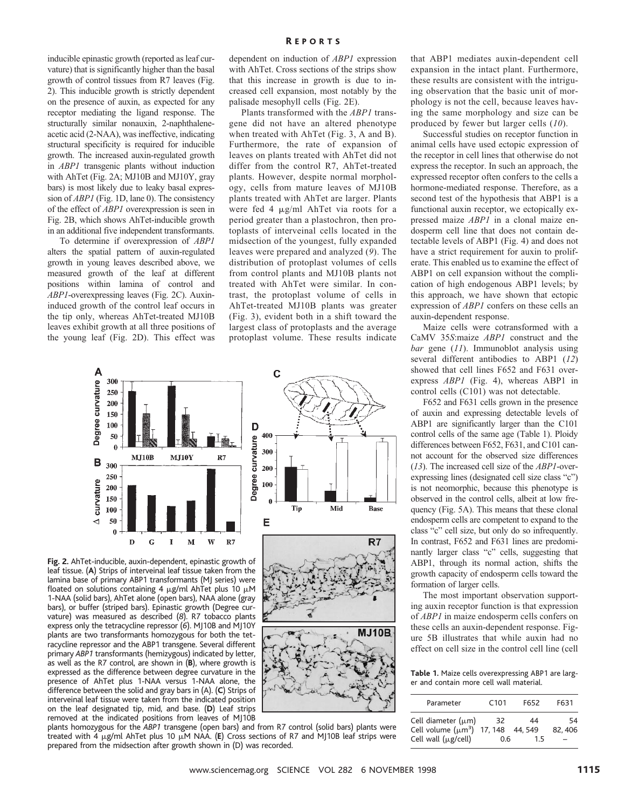inducible epinastic growth (reported as leaf curvature) that is significantly higher than the basal growth of control tissues from R7 leaves (Fig. 2). This inducible growth is strictly dependent on the presence of auxin, as expected for any receptor mediating the ligand response. The structurally similar nonauxin, 2-naphthaleneacetic acid (2-NAA), was ineffective, indicating structural specificity is required for inducible growth. The increased auxin-regulated growth in *ABP1* transgenic plants without induction with AhTet (Fig. 2A; MJ10B and MJ10Y, gray bars) is most likely due to leaky basal expression of *ABP1* (Fig. 1D, lane 0). The consistency of the effect of *ABP1* overexpression is seen in Fig. 2B, which shows AhTet-inducible growth in an additional five independent transformants.

To determine if overexpression of *ABP1* alters the spatial pattern of auxin-regulated growth in young leaves described above, we measured growth of the leaf at different positions within lamina of control and *ABP1*-overexpressing leaves (Fig. 2C). Auxininduced growth of the control leaf occurs in the tip only, whereas AhTet-treated MJ10B leaves exhibit growth at all three positions of the young leaf (Fig. 2D). This effect was

dependent on induction of *ABP1* expression with AhTet. Cross sections of the strips show that this increase in growth is due to increased cell expansion, most notably by the palisade mesophyll cells (Fig. 2E).

Plants transformed with the *ABP1* transgene did not have an altered phenotype when treated with AhTet (Fig. 3, A and B). Furthermore, the rate of expansion of leaves on plants treated with AhTet did not differ from the control R7, AhTet-treated plants. However, despite normal morphology, cells from mature leaves of MJ10B plants treated with AhTet are larger. Plants were fed 4  $\mu$ g/ml AhTet via roots for a period greater than a plastochron, then protoplasts of interveinal cells located in the midsection of the youngest, fully expanded leaves were prepared and analyzed (*9*). The distribution of protoplast volumes of cells from control plants and MJ10B plants not treated with AhTet were similar. In contrast, the protoplast volume of cells in AhTet-treated MJ10B plants was greater (Fig. 3), evident both in a shift toward the largest class of protoplasts and the average protoplast volume. These results indicate

Ć

400

300

200

100



**Fig. 2.** AhTet-inducible, auxin-dependent, epinastic growth of leaf tissue. (**A**) Strips of interveinal leaf tissue taken from the lamina base of primary ABP1 transformants (MJ series) were floated on solutions containing 4  $\mu$ g/ml AhTet plus 10  $\mu$ M 1-NAA (solid bars), AhTet alone (open bars), NAA alone (gray bars), or buffer (striped bars). Epinastic growth (Degree curvature) was measured as described (*8*). R7 tobacco plants express only the tetracycline repressor (*6*). MJ10B and MJ10Y plants are two transformants homozygous for both the tetracycline repressor and the ABP1 transgene. Several different primary *ABP1* transformants (hemizygous) indicated by letter, as well as the R7 control, are shown in (**B**), where growth is expressed as the difference between degree curvature in the presence of AhTet plus 1-NAA versus 1-NAA alone, the difference between the solid and gray bars in (A). (**C**) Strips of interveinal leaf tissue were taken from the indicated position on the leaf designated tip, mid, and base. (**D**) Leaf strips removed at the indicated positions from leaves of MJ10B



that ABP1 mediates auxin-dependent cell expansion in the intact plant. Furthermore, these results are consistent with the intriguing observation that the basic unit of morphology is not the cell, because leaves having the same morphology and size can be produced by fewer but larger cells (*10*).

Successful studies on receptor function in animal cells have used ectopic expression of the receptor in cell lines that otherwise do not express the receptor. In such an approach, the expressed receptor often confers to the cells a hormone-mediated response. Therefore, as a second test of the hypothesis that ABP1 is a functional auxin receptor, we ectopically expressed maize *ABP1* in a clonal maize endosperm cell line that does not contain detectable levels of ABP1 (Fig. 4) and does not have a strict requirement for auxin to proliferate. This enabled us to examine the effect of ABP1 on cell expansion without the complication of high endogenous ABP1 levels; by this approach, we have shown that ectopic expression of *ABP1* confers on these cells an auxin-dependent response.

Maize cells were cotransformed with a CaMV 35*S*:maize *ABP1* construct and the *bar* gene (*11*). Immunoblot analysis using several different antibodies to ABP1 (*12*) showed that cell lines F652 and F631 overexpress *ABP1* (Fig. 4), whereas ABP1 in control cells (C101) was not detectable.

F652 and F631 cells grown in the presence of auxin and expressing detectable levels of ABP1 are significantly larger than the C101 control cells of the same age (Table 1). Ploidy differences between F652, F631, and C101 cannot account for the observed size differences (*13*). The increased cell size of the *ABP1*-overexpressing lines (designated cell size class "c") is not neomorphic, because this phenotype is observed in the control cells, albeit at low frequency (Fig. 5A). This means that these clonal endosperm cells are competent to expand to the class "c" cell size, but only do so infrequently. In contrast, F652 and F631 lines are predominantly larger class "c" cells, suggesting that ABP1, through its normal action, shifts the growth capacity of endosperm cells toward the formation of larger cells.

The most important observation supporting auxin receptor function is that expression of *ABP1* in maize endosperm cells confers on these cells an auxin-dependent response. Figure 5B illustrates that while auxin had no effect on cell size in the control cell line (cell

**Table 1.** Maize cells overexpressing ABP1 are larger and contain more cell wall material.

| Parameter               | C <sub>101</sub> | F652   | F631   |
|-------------------------|------------------|--------|--------|
| Cell diameter $(\mu m)$ | 32               | 44     | 54     |
| Cell volume $(\mu m^3)$ | 17, 148          | 44.549 | 82.406 |
| Cell wall (µg/cell)     | 0.6              | 1.5    |        |

plants homozygous for the *ABP1* transgene (open bars) and from R7 control (solid bars) plants were treated with 4  $\mu$ g/ml AhTet plus 10  $\mu$ M NAA. (**E**) Cross sections of R7 and MJ10B leaf strips were prepared from the midsection after growth shown in (D) was recorded.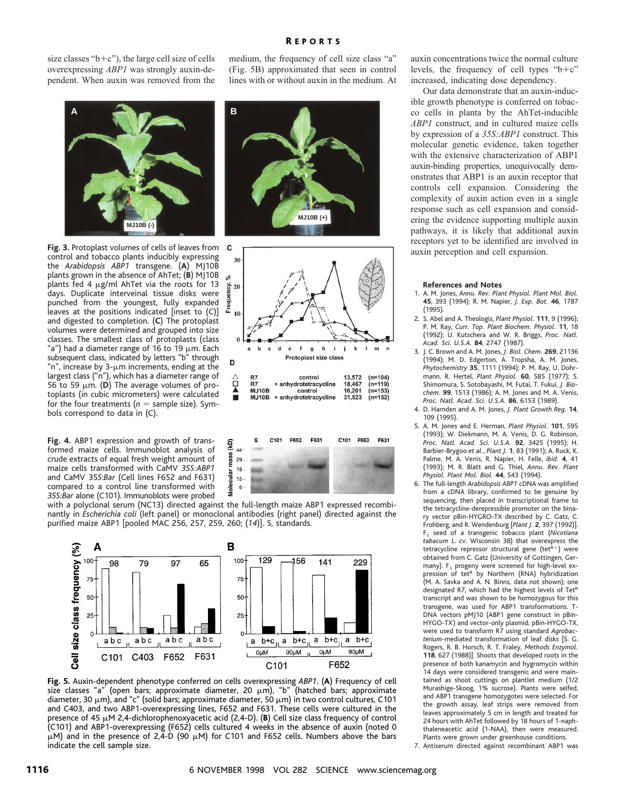## medium, the frequency of cell size class "a" R EPORTS

(Fig. 5B) approximated that seen in control lines with or without auxin in the medium. At

**MJ10B (+)**

size classes " $b+c$ "), the large cell size of cells overexpressing *ABP1* was strongly auxin-dependent. When auxin was removed from the

> **A B MJ10B (-)**

**Fig. 3.** Protoplast volumes of cells of leaves from control and tobacco plants inducibly expressing the *Arabidopsis ABP1* transgene. (**A**) MJ10B plants grown in the absence of AhTet; (**B**) MJ10B plants fed 4  $\mu$ g/ml AhTet via the roots for 13 days. Duplicate interveinal tissue disks were punched from the youngest, fully expanded leaves at the positions indicated [inset to (C)] and digested to completion. (**C**) The protoplast volumes were determined and grouped into size classes. The smallest class of protoplasts (class "a") had a diameter range of 16 to 19  $\mu$ m. Each subsequent class, indicated by letters "b" through "n", increase by 3- $\mu$ m increments, ending at the largest class ("n"), which has a diameter range of 56 to 59  $\mu$ m. (D) The average volumes of protoplasts (in cubic micrometers) were calculated for the four treatments ( $n =$  sample size). Symbols correspond to data in (C).

**Fig. 4.** ABP1 expression and growth of transformed maize cells. Immunoblot analysis of crude extracts of equal fresh weight amount of maize cells transformed with CaMV *35S:ABP1* and CaMV 35*S*:*Bar* (Cell lines F652 and F631) compared to a control line transformed with *35S:Bar* alone (C101). Immunoblots were probed

F652 F631 C101 F652 F631 C101 s ्रि  $44$ mass  $29 18 -$ Molecular  $15 6\,$ 

 $\mathsf{h}$ 

Protoplast size class

control + anhydrotetracycline

control

+ anhydrotetracycline

 $\ddot{\phantom{a}}$ 

- i

 $\mathbf k$ 

13,572

18,467

16,201

31,523

 $\mathbf{m}$ 

 $(n=104)$ 

 $(n=119)$ 

n=153);"

 $(n=152)$ 

n

 $\mathbf d$ 

b  $\mathbf{c}$ 

R7

**MJ10B**<br>MJ10B

 $f$  $\mathbf{g}$ 

 $\mathbf{e}$ 

with a polyclonal serum (NC13) directed against the full-length maize ABP1 expressed recombinantly in *Escherichia coli* (left panel) or monoclonal antibodies (right panel) directed against the purified maize ABP1 [pooled MAC 256, 257, 259, 260; (*14*)]. S, standards.

 $\mathbf c$  $30$ .<br>چ

Frequency,  $20$ 

 $10$ 

D

 $\frac{\triangle}{\Box}$ R7

≜



**Fig. 5.** Auxin-dependent phenotype conferred on cells overexpressing *ABP1*. (**A**) Frequency of cell size classes "a" (open bars; approximate diameter, 20  $\mu$ m), "b" (hatched bars; approximate diameter, 30  $\mu$ m), and "c" (solid bars; approximate diameter, 50  $\mu$ m) in two control cultures, C101 and C403, and two ABP1-overexpressing lines, F652 and F631. These cells were cultured in the presence of 45 µM 2,4-dichlorophenoxyacetic acid (2,4-D). (B) Cell size class frequency of control (C101) and ABP1-overexpressing (F652) cells cultured 4 weeks in the absence of auxin (noted 0  $\mu$ M) and in the presence of 2,4-D (90  $\mu$ M) for C101 and F652 cells. Numbers above the bars indicate the cell sample size.

auxin concentrations twice the normal culture levels, the frequency of cell types " $b+c$ " increased, indicating dose dependency.

Our data demonstrate that an auxin-inducible growth phenotype is conferred on tobacco cells in planta by the AhTet-inducible *ABP1* construct, and in cultured maize cells by expression of a *35S:ABP1* construct. This molecular genetic evidence, taken together with the extensive characterization of ABP1 auxin-binding properties, unequivocally demonstrates that ABP1 is an auxin receptor that controls cell expansion. Considering the complexity of auxin action even in a single response such as cell expansion and considering the evidence supporting multiple auxin pathways, it is likely that additional auxin receptors yet to be identified are involved in auxin perception and cell expansion.

#### **References and Notes**

- 1. A. M. Jones, *Annu. Rev. Plant Physiol. Plant Mol. Biol.* **45**, 393 (1994); R. M. Napier, *J. Exp. Bot.* **46**, 1787 (1995).
- 2. S. Abel and A. Theologis, *Plant Physiol.* **111**, 9 (1996); P. M. Ray, *Curr. Top. Plant Biochem. Physiol.* **11**, 18 (1992); U. Kutschera and W. R. Briggs, *Proc. Natl. Acad. Sci. U.S.A.* **84**, 2747 (1987).
- 3. J. C. Brown and A. M. Jones, *J. Biol. Chem.* **269**, 21136 (1994); M. D. Edgerton, A. Tropsha, A. M. Jones, *Phytochemistry* **35**, 1111 (1994); P. M. Ray, U. Dohrmann, R. Hertel, *Plant Physiol.* **60**, 585 (1977); S. Shimomura, S. Sotobayashi, M. Futai, T. Fukui, *J. Biochem.* **99**, 1513 (1986); A. M. Jones and M. A. Venis, *Proc. Natl. Acad. Sci. U.S.A.* **86**, 6153 (1989).
- 4. D. Harnden and A. M. Jones, *J. Plant Growth Reg.* **14**, 109 (1995).
- 5. A. M. Jones and E. Herman, *Plant Physiol.* **101**, 595 (1993); W. Diekmann, M. A. Venis, D. G. Robinson, *Proc. Natl. Acad. Sci. U.S.A.* **92**, 3425 (1995); H. Barbier-Brygoo *et al.*, *Plant J.* **1**, 83 (1991); A. Ruck, K. Palme, M. A. Venis, R. Napier, H. Felle, *ibid.* **4**, 41 (1993); M. R. Blatt and G. Thiel, *Annu. Rev. Plant Physiol. Plant Mol. Biol.* **44**, 543 (1994).
- 6. The full-length *Arabidopsis ABP1* cDNA was amplified from a cDNA library, confirmed to be genuine by sequencing, then placed in transcriptional frame to the tetracycline-derepressible promoter on the binary vector pBin-HYGRO-TX described by C. Gatz, C. Frohberg, and R. Wendenburg [*Plant J.* **2**, 397 (1992)]. F1 seed of a transgenic tobacco plant (*Nicotiana tabacum* L. cv. Wisconsin 38) that overexpress the tetracycline repressor structural gene (tet $R+1$ ) were obtained from C. Gatz (University of Gottingen, Germany).  $F_1$  progeny were screened for high-level expression of tet<sup>R</sup> by Northern (RNA) hybridization (M. A. Savka and A. N. Binns, data not shown); one designated R7, which had the highest levels of TetR transcript and was shown to be homozygous for this transgene, was used for ABP1 transformations. T-DNA vectors pMJ10 (ABP1 gene construct in pBin-HYGO-TX) and vector-only plasmid, pBin-HYGO-TX, were used to transform R7 using standard *Agrobacterium*-mediated transformation of leaf disks [S. G. Rogers, R. B. Horsch, R. T. Fraley, *Methods Enzymol.* **118**, 627 (1988)]. Shoots that developed roots in the presence of both kanamycin and hygromycin within 14 days were considered transgenic and were maintained as shoot cuttings on plantlet medium (1/2 Murashige-Skoog, 1% sucrose). Plants were selfed, and ABP1 transgene homozygotes were selected. For the growth assay, leaf strips were removed from leaves approximately 5 cm in length and treated for 24 hours with AhTet followed by 18 hours of 1-naphthaleneacetic acid (1-NAA), then were measured. Plants were grown under greenhouse conditions.

7. Antiserum directed against recombinant ABP1 was